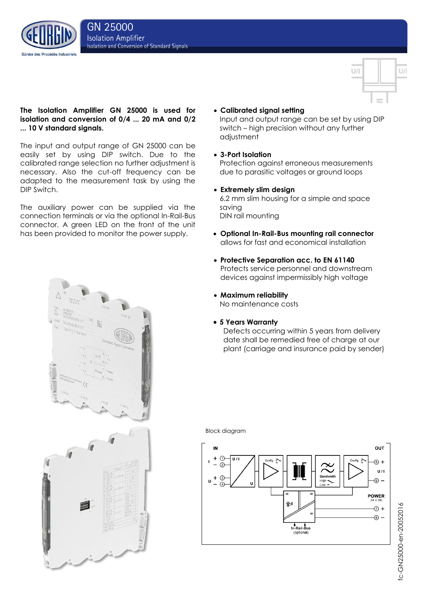des Procédés Indust



# **The Isolation Amplifier GN 25000 is used for isolation and conversion of 0/4 ... 20 mA and 0/2 ... 10 V standard signals.**

The input and output range of GN 25000 can be easily set by using DIP switch. Due to the calibrated range selection no further adjustment is necessary. Also the cut-off frequency can be adapted to the measurement task by using the DIP Switch.

The auxiliary power can be supplied via the connection terminals or via the optional In-Rail-Bus connector. A green LED on the front of the unit has been provided to monitor the power supply.



# **Calibrated signal setting**

Input and output range can be set by using DIP switch – high precision without any further adjustment

# **3-Port Isolation**

Protection against erroneous measurements due to parasitic voltages or ground loops

# **Extremely slim design**

6.2 mm slim housing for a simple and space saving DIN rail mounting

- **Optional In-Rail-Bus mounting rail connector** allows for fast and economical installation
- **Protective Separation acc. to EN 61140** Protects service personnel and downstream devices against impermissibly high voltage
- **Maximum reliability** No maintenance costs
- **5 Years Warranty**

Defects occurring within 5 years from delivery date shall be remedied free of charge at our plant (carriage and insurance paid by sender)

### Block diagram



# fc-GN25000-en-20052016 fc-GN25000-en-20052016